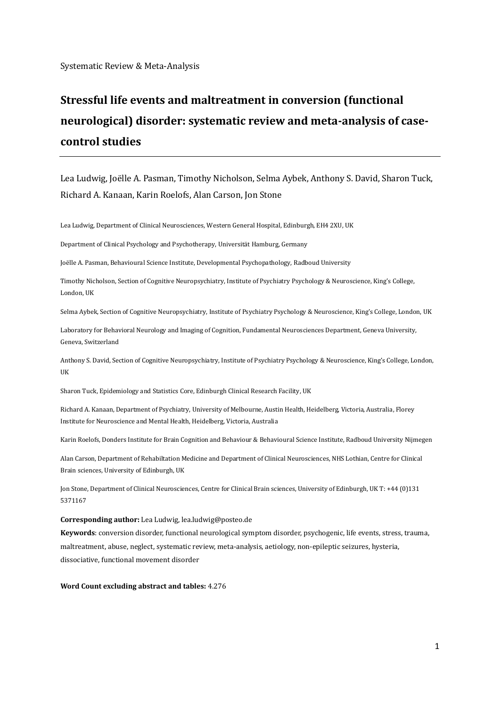Systematic Review & Meta-Analysis

# **Stressful life events and maltreatment in conversion (functional neurological) disorder: systematic review and meta-analysis of casecontrol studies**

Lea Ludwig, Joëlle A. Pasman, Timothy Nicholson, Selma Aybek, Anthony S. David, Sharon Tuck, Richard A. Kanaan, Karin Roelofs, Alan Carson, Jon Stone

Lea Ludwig, Department of Clinical Neurosciences, Western General Hospital, Edinburgh, EH4 2XU, UK

Department of Clinical Psychology and Psychotherapy, Universität Hamburg, Germany

Joëlle A. Pasman, Behavioural Science Institute, Developmental Psychopathology, Radboud University

Timothy Nicholson, Section of Cognitive Neuropsychiatry, Institute of Psychiatry Psychology & Neuroscience, King's College, London, UK

Selma Aybek, Section of Cognitive Neuropsychiatry, Institute of Psychiatry Psychology & Neuroscience, King's College, London, UK

Laboratory for Behavioral Neurology and Imaging of Cognition, Fundamental Neurosciences Department, Geneva University, Geneva, Switzerland

Anthony S. David, Section of Cognitive Neuropsychiatry, Institute of Psychiatry Psychology & Neuroscience, King's College, London, UK

Sharon Tuck, Epidemiology and Statistics Core, Edinburgh Clinical Research Facility, UK

Richard A. Kanaan, Department of Psychiatry, University of Melbourne, Austin Health, Heidelberg, Victoria, Australia, Florey Institute for Neuroscience and Mental Health, Heidelberg, Victoria, Australia

Karin Roelofs, Donders Institute for Brain Cognition and Behaviour & Behavioural Science Institute, Radboud University Nijmegen

Alan Carson, Department of Rehabiltation Medicine and Department of Clinical Neurosciences, NHS Lothian, Centre for Clinical Brain sciences, University of Edinburgh, UK

Jon Stone, Department of Clinical Neurosciences, Centre for Clinical Brain sciences, University of Edinburgh, UK T: +44 (0)131 5371167

#### **Corresponding author:** Lea Ludwig[, lea.ludwig@posteo.de](mailto:lea.ludwig@posteo.de)

**Keywords**: conversion disorder, functional neurological symptom disorder, psychogenic, life events, stress, trauma, maltreatment, abuse, neglect, systematic review, meta-analysis, aetiology, non-epileptic seizures, hysteria, dissociative, functional movement disorder

**Word Count excluding abstract and tables:** 4.276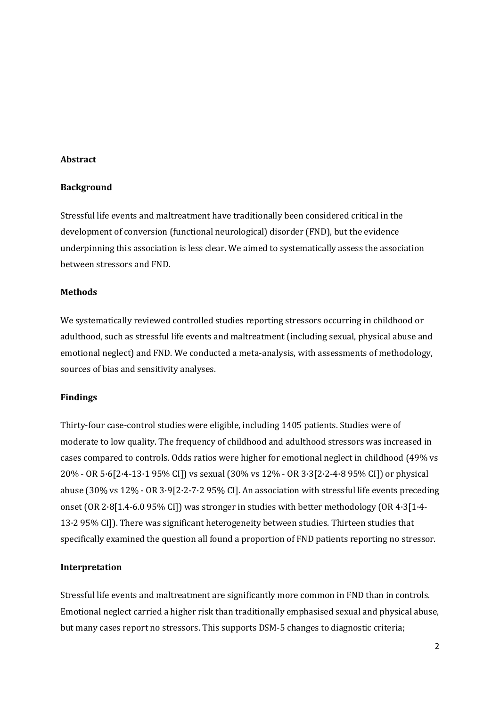#### **Abstract**

#### **Background**

Stressful life events and maltreatment have traditionally been considered critical in the development of conversion (functional neurological) disorder (FND), but the evidence underpinning this association is less clear. We aimed to systematically assess the association between stressors and FND.

## **Methods**

We systematically reviewed controlled studies reporting stressors occurring in childhood or adulthood, such as stressful life events and maltreatment (including sexual, physical abuse and emotional neglect) and FND. We conducted a meta-analysis, with assessments of methodology, sources of bias and sensitivity analyses.

#### **Findings**

Thirty-four case-control studies were eligible, including 1405 patients. Studies were of moderate to low quality. The frequency of childhood and adulthood stressors was increased in cases compared to controls. Odds ratios were higher for emotional neglect in childhood (49% vs 20% - OR 5·6[2·4-13·1 95% CI]) vs sexual (30% vs 12% - OR 3·3[2·2-4·8 95% CI]) or physical abuse (30% vs 12% - OR 3·9[2·2-7·2 95% CI]. An association with stressful life events preceding onset (OR 2·8[1.4-6.0 95% CI]) was stronger in studies with better methodology (OR 4·3[1·4- 13·2 95% CI]). There was significant heterogeneity between studies. Thirteen studies that specifically examined the question all found a proportion of FND patients reporting no stressor.

## **Interpretation**

Stressful life events and maltreatment are significantly more common in FND than in controls. Emotional neglect carried a higher risk than traditionally emphasised sexual and physical abuse, but many cases report no stressors. This supports DSM-5 changes to diagnostic criteria;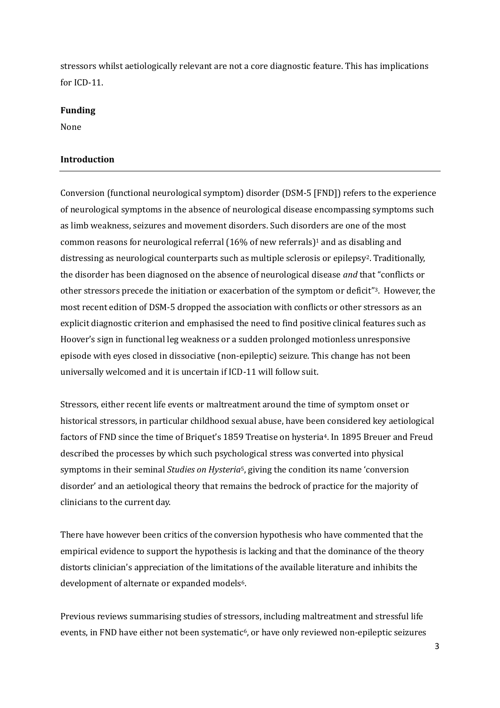stressors whilst aetiologically relevant are not a core diagnostic feature. This has implications for ICD-11.

## **Funding**

None

## **Introduction**

Conversion (functional neurological symptom) disorder (DSM-5 [FND]) refers to the experience of neurological symptoms in the absence of neurological disease encompassing symptoms such as limb weakness, seizures and movement disorders. Such disorders are one of the most common reasons for neurological referral (16% of new referrals)<sup>1</sup> and as disabling and distressing as neurological counterparts such as multiple sclerosis or epilepsy<sup>2</sup>. Traditionally, the disorder has been diagnosed on the absence of neurological disease *and* that "conflicts or other stressors precede the initiation or exacerbation of the symptom or deficit" <sup>3</sup>. However, the most recent edition of DSM-5 dropped the association with conflicts or other stressors as an explicit diagnostic criterion and emphasised the need to find positive clinical features such as Hoover's sign in functional leg weakness or a sudden prolonged motionless unresponsive episode with eyes closed in dissociative (non-epileptic) seizure. This change has not been universally welcomed and it is uncertain if ICD-11 will follow suit.

Stressors, either recent life events or maltreatment around the time of symptom onset or historical stressors, in particular childhood sexual abuse, have been considered key aetiological factors of FND since the time of Briquet's 1859 Treatise on hysteria<sup>4</sup>. In 1895 Breuer and Freud described the processes by which such psychological stress was converted into physical symptoms in their seminal *Studies on Hysteria*5, giving the condition its name 'conversion disorder' and an aetiological theory that remains the bedrock of practice for the majority of clinicians to the current day.

There have however been critics of the conversion hypothesis who have commented that the empirical evidence to support the hypothesis is lacking and that the dominance of the theory distorts clinician's appreciation of the limitations of the available literature and inhibits the development of alternate or expanded models<sup>6</sup>.

Previous reviews summarising studies of stressors, including maltreatment and stressful life events, in FND have either not been systematic<sup>6</sup>, or have only reviewed non-epileptic seizures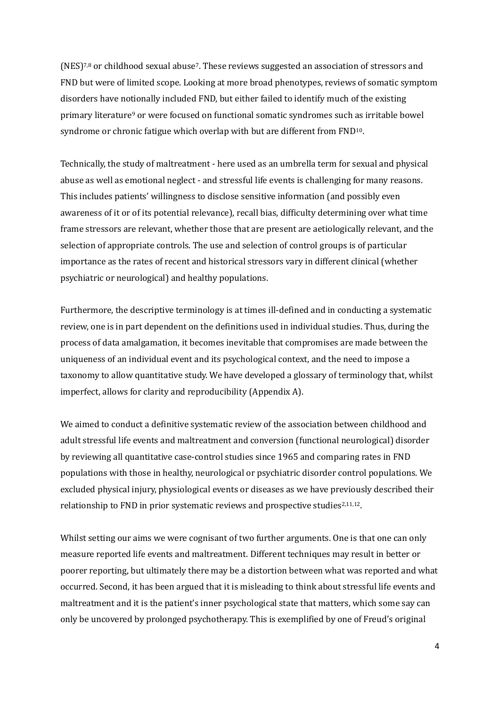$(NES)^{7,8}$  or childhood sexual abuse<sup>7</sup>. These reviews suggested an association of stressors and FND but were of limited scope. Looking at more broad phenotypes, reviews of somatic symptom disorders have notionally included FND, but either failed to identify much of the existing primary literature<sup>9</sup> or were focused on functional somatic syndromes such as irritable bowel syndrome or chronic fatigue which overlap with but are different from FND10.

Technically, the study of maltreatment - here used as an umbrella term for sexual and physical abuse as well as emotional neglect - and stressful life events is challenging for many reasons. This includes patients' willingness to disclose sensitive information (and possibly even awareness of it or of its potential relevance), recall bias, difficulty determining over what time frame stressors are relevant, whether those that are present are aetiologically relevant, and the selection of appropriate controls. The use and selection of control groups is of particular importance as the rates of recent and historical stressors vary in different clinical (whether psychiatric or neurological) and healthy populations.

Furthermore, the descriptive terminology is at times ill-defined and in conducting a systematic review, one is in part dependent on the definitions used in individual studies. Thus, during the process of data amalgamation, it becomes inevitable that compromises are made between the uniqueness of an individual event and its psychological context, and the need to impose a taxonomy to allow quantitative study. We have developed a glossary of terminology that, whilst imperfect, allows for clarity and reproducibility (Appendix A).

We aimed to conduct a definitive systematic review of the association between childhood and adult stressful life events and maltreatment and conversion (functional neurological) disorder by reviewing all quantitative case-control studies since 1965 and comparing rates in FND populations with those in healthy, neurological or psychiatric disorder control populations. We excluded physical injury, physiological events or diseases as we have previously described their relationship to FND in prior systematic reviews and prospective studies<sup>2,11,12</sup>.

Whilst setting our aims we were cognisant of two further arguments. One is that one can only measure reported life events and maltreatment. Different techniques may result in better or poorer reporting, but ultimately there may be a distortion between what was reported and what occurred. Second, it has been argued that it is misleading to think about stressful life events and maltreatment and it is the patient's inner psychological state that matters, which some say can only be uncovered by prolonged psychotherapy. This is exemplified by one of Freud's original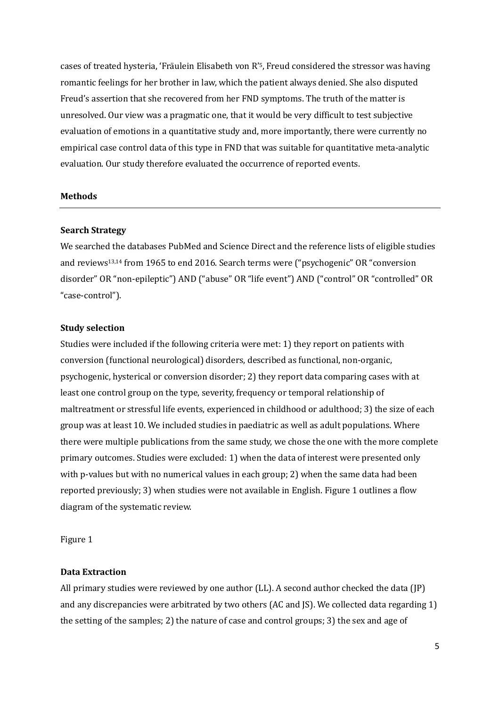cases of treated hysteria, 'Fräulein Elisabeth von R'<sup>5</sup>, Freud considered the stressor was having romantic feelings for her brother in law, which the patient always denied. She also disputed Freud's assertion that she recovered from her FND symptoms. The truth of the matter is unresolved. Our view was a pragmatic one, that it would be very difficult to test subjective evaluation of emotions in a quantitative study and, more importantly, there were currently no empirical case control data of this type in FND that was suitable for quantitative meta-analytic evaluation. Our study therefore evaluated the occurrence of reported events.

#### **Methods**

#### **Search Strategy**

We searched the databases PubMed and Science Direct and the reference lists of eligible studies and reviews13,14 from 1965 to end 2016. Search terms were ("psychogenic" OR "conversion disorder" OR "non-epileptic") AND ("abuse" OR "life event") AND ("control" OR "controlled" OR "case-control").

#### **Study selection**

Studies were included if the following criteria were met: 1) they report on patients with conversion (functional neurological) disorders, described as functional, non-organic, psychogenic, hysterical or conversion disorder; 2) they report data comparing cases with at least one control group on the type, severity, frequency or temporal relationship of maltreatment or stressful life events, experienced in childhood or adulthood; 3) the size of each group was at least 10. We included studies in paediatric as well as adult populations. Where there were multiple publications from the same study, we chose the one with the more complete primary outcomes. Studies were excluded: 1) when the data of interest were presented only with p-values but with no numerical values in each group; 2) when the same data had been reported previously; 3) when studies were not available in English. Figure 1 outlines a flow diagram of the systematic review.

Figure 1

## **Data Extraction**

All primary studies were reviewed by one author (LL). A second author checked the data (JP) and any discrepancies were arbitrated by two others (AC and JS). We collected data regarding 1) the setting of the samples; 2) the nature of case and control groups; 3) the sex and age of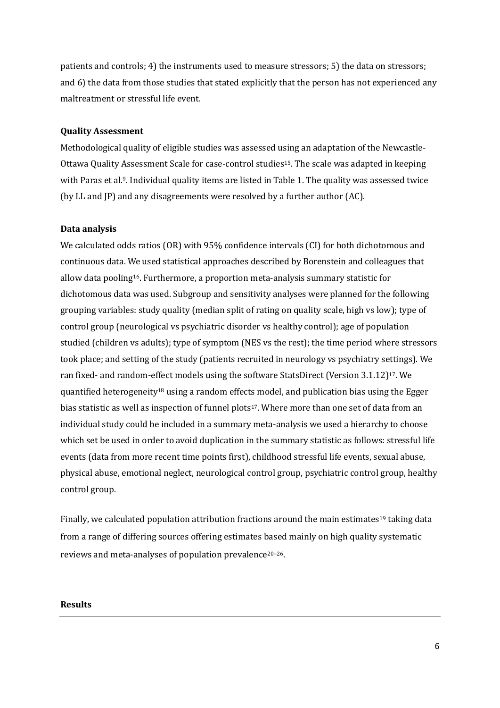patients and controls; 4) the instruments used to measure stressors; 5) the data on stressors; and 6) the data from those studies that stated explicitly that the person has not experienced any maltreatment or stressful life event.

#### **Quality Assessment**

Methodological quality of eligible studies was assessed using an adaptation of the Newcastle-Ottawa Quality Assessment Scale for case-control studies15. The scale was adapted in keeping with Paras et al.<sup>9</sup>. Individual quality items are listed in Table 1. The quality was assessed twice (by LL and JP) and any disagreements were resolved by a further author (AC).

#### **Data analysis**

We calculated odds ratios (OR) with 95% confidence intervals (CI) for both dichotomous and continuous data. We used statistical approaches described by Borenstein and colleagues that allow data pooling16. Furthermore, a proportion meta-analysis summary statistic for dichotomous data was used. Subgroup and sensitivity analyses were planned for the following grouping variables: study quality (median split of rating on quality scale, high vs low); type of control group (neurological vs psychiatric disorder vs healthy control); age of population studied (children vs adults); type of symptom (NES vs the rest); the time period where stressors took place; and setting of the study (patients recruited in neurology vs psychiatry settings). We ran fixed- and random-effect models using the software StatsDirect (Version 3.1.12) <sup>17</sup>. We quantified heterogeneity<sup>18</sup> using a random effects model, and publication bias using the Egger bias statistic as well as inspection of funnel plots<sup>17</sup>. Where more than one set of data from an individual study could be included in a summary meta-analysis we used a hierarchy to choose which set be used in order to avoid duplication in the summary statistic as follows: stressful life events (data from more recent time points first), childhood stressful life events, sexual abuse, physical abuse, emotional neglect, neurological control group, psychiatric control group, healthy control group.

Finally, we calculated population attribution fractions around the main estimates<sup>19</sup> taking data from a range of differing sources offering estimates based mainly on high quality systematic reviews and meta-analyses of population prevalence20–26.

### **Results**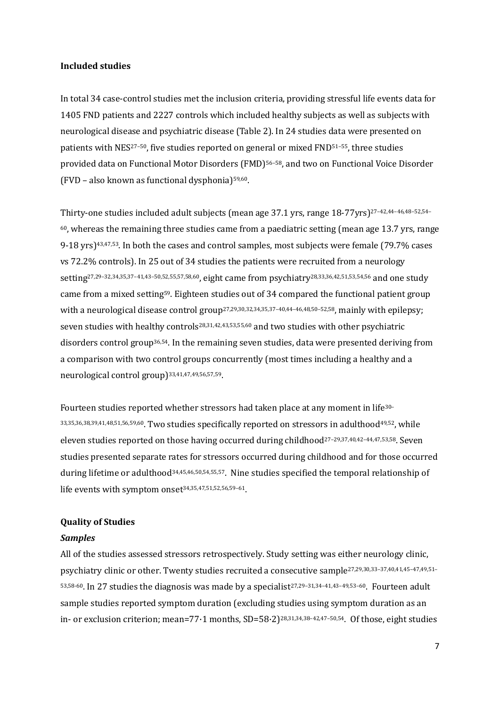#### **Included studies**

In total 34 case-control studies met the inclusion criteria, providing stressful life events data for 1405 FND patients and 2227 controls which included healthy subjects as well as subjects with neurological disease and psychiatric disease (Table 2). In 24 studies data were presented on patients with NES<sup>27-50</sup>, five studies reported on general or mixed FND<sup>51-55</sup>, three studies provided data on Functional Motor Disorders (FMD)56–58, and two on Functional Voice Disorder (FVD – also known as functional dysphonia)59,60.

Thirty-one studies included adult subjects (mean age 37.1 yrs, range 18-77yrs)27–42,44–46,48–52,54–  $60$ , whereas the remaining three studies came from a paediatric setting (mean age 13.7 yrs, range 9-18 yrs)43,47,53. In both the cases and control samples, most subjects were female (79.7% cases vs 72.2% controls). In 25 out of 34 studies the patients were recruited from a neurology setting27,29–32,34,35,37–41,43–50,52,55,57,58,60, eight came from psychiatry28,33,36,42,51,53,54,56 and one study came from a mixed setting59. Eighteen studies out of 34 compared the functional patient group with a neurological disease control group<sup>27,29,30,32,34,35,37-40,44-46,48,50-52,58</sup>, mainly with epilepsy; seven studies with healthy controls<sup>28,31,42,43,53,55,60</sup> and two studies with other psychiatric disorders control group36,54. In the remaining seven studies, data were presented deriving from a comparison with two control groups concurrently (most times including a healthy and a neurological control group) 33,41,47,49,56,57,59.

Fourteen studies reported whether stressors had taken place at any moment in life30– 33,35,36,38,39,41,48,51,56,59,60. Two studies specifically reported on stressors in adulthood49,52, while eleven studies reported on those having occurred during childhood27–29,37,40,42–44,47,53,58. Seven studies presented separate rates for stressors occurred during childhood and for those occurred during lifetime or adulthood<sup>34,45,46,50,54,55,57</sup>. Nine studies specified the temporal relationship of life events with symptom onset 34,35,47,51,52,56,59–61.

## **Quality of Studies**

#### *Samples*

All of the studies assessed stressors retrospectively. Study setting was either neurology clinic, psychiatry clinic or other. Twenty studies recruited a consecutive sample27,29,30,33–37,40,41,45–47,49,51– 53,58-60. In 27 studies the diagnosis was made by a specialist27,29–31,34–41,43–49,53–60. Fourteen adult sample studies reported symptom duration (excluding studies using symptom duration as an in- or exclusion criterion; mean=77·1 months, SD=58·2)28,31,34,38–42,47–50,54. Of those, eight studies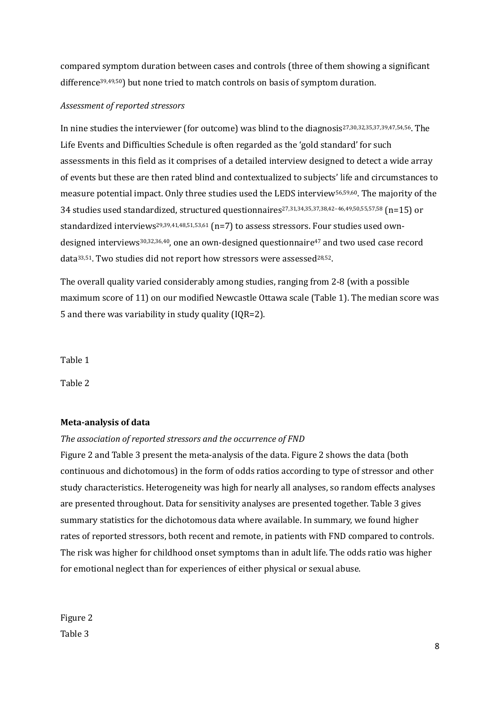compared symptom duration between cases and controls (three of them showing a significant difference39,49,50) but none tried to match controls on basis of symptom duration.

## *Assessment of reported stressors*

In nine studies the interviewer (for outcome) was blind to the diagnosis<sup>27,30,32,35,37,39,47,54,56</sup>. The Life Events and Difficulties Schedule is often regarded as the 'gold standard' for such assessments in this field as it comprises of a detailed interview designed to detect a wide array of events but these are then rated blind and contextualized to subjects' life and circumstances to measure potential impact. Only three studies used the LEDS interview56,59,60. The majority of the 34 studies used standardized, structured questionnaires27,31,34,35,37,38,42–46,49,50,55,57,58 (n=15) or standardized interviews<sup>29,39,41,48,51,53,61</sup> (n=7) to assess stressors. Four studies used owndesigned interviews<sup>30,32,36,40</sup>, one an own-designed questionnaire<sup>47</sup> and two used case record data<sup>33,51</sup>. Two studies did not report how stressors were assessed<sup>28,52</sup>.

The overall quality varied considerably among studies, ranging from 2-8 (with a possible maximum score of 11) on our modified Newcastle Ottawa scale (Table 1). The median score was 5 and there was variability in study quality (IQR=2).

Table 1

Table 2

## **Meta-analysis of data**

## *The association of reported stressors and the occurrence of FND*

Figure 2 and Table 3 present the meta-analysis of the data. Figure 2 shows the data (both continuous and dichotomous) in the form of odds ratios according to type of stressor and other study characteristics. Heterogeneity was high for nearly all analyses, so random effects analyses are presented throughout. Data for sensitivity analyses are presented together. Table 3 gives summary statistics for the dichotomous data where available. In summary, we found higher rates of reported stressors, both recent and remote, in patients with FND compared to controls. The risk was higher for childhood onset symptoms than in adult life. The odds ratio was higher for emotional neglect than for experiences of either physical or sexual abuse.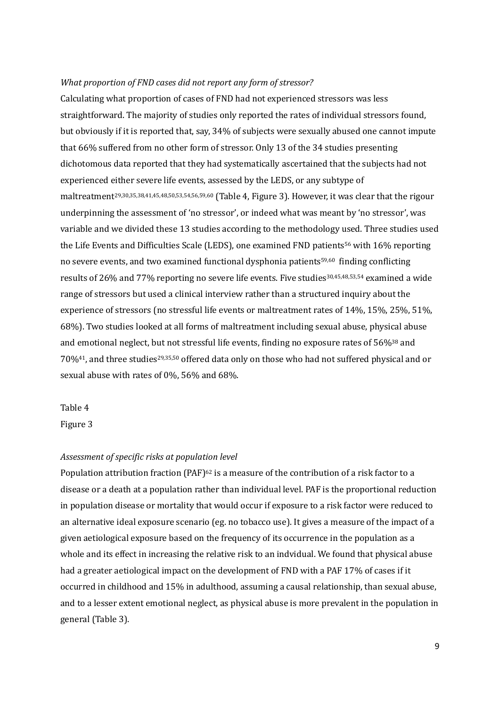#### *What proportion of FND cases did not report any form of stressor?*

Calculating what proportion of cases of FND had not experienced stressors was less straightforward. The majority of studies only reported the rates of individual stressors found, but obviously if it is reported that, say, 34% of subjects were sexually abused one cannot impute that 66% suffered from no other form of stressor. Only 13 of the 34 studies presenting dichotomous data reported that they had systematically ascertained that the subjects had not experienced either severe life events, assessed by the LEDS, or any subtype of maltreatment29,30,35,38,41,45,48,50,53,54,56,59,60 (Table 4, Figure 3). However, it was clear that the rigour underpinning the assessment of 'no stressor', or indeed what was meant by 'no stressor', was variable and we divided these 13 studies according to the methodology used. Three studies used the Life Events and Difficulties Scale (LEDS), one examined FND patients<sup>56</sup> with 16% reporting no severe events, and two examined functional dysphonia patients<sup>59,60</sup> finding conflicting results of 26% and 77% reporting no severe life events. Five studies30,45,48,53,54 examined a wide range of stressors but used a clinical interview rather than a structured inquiry about the experience of stressors (no stressful life events or maltreatment rates of 14%, 15%, 25%, 51%, 68%). Two studies looked at all forms of maltreatment including sexual abuse, physical abuse and emotional neglect, but not stressful life events, finding no exposure rates of 56%<sup>38</sup> and 70%41, and three studies29,35,50 offered data only on those who had not suffered physical and or sexual abuse with rates of 0%, 56% and 68%.

## Table 4

Figure 3

#### *Assessment of specific risks at population level*

Population attribution fraction (PAF)<sup>62</sup> is a measure of the contribution of a risk factor to a disease or a death at a population rather than individual level. PAF is the proportional reduction in population disease or mortality that would occur if exposure to a risk factor were reduced to an alternative ideal exposure scenario (eg. no tobacco use). It gives a measure of the impact of a given aetiological exposure based on the frequency of its occurrence in the population as a whole and its effect in increasing the relative risk to an indvidual. We found that physical abuse had a greater aetiological impact on the development of FND with a PAF 17% of cases if it occurred in childhood and 15% in adulthood, assuming a causal relationship, than sexual abuse, and to a lesser extent emotional neglect, as physical abuse is more prevalent in the population in general (Table 3).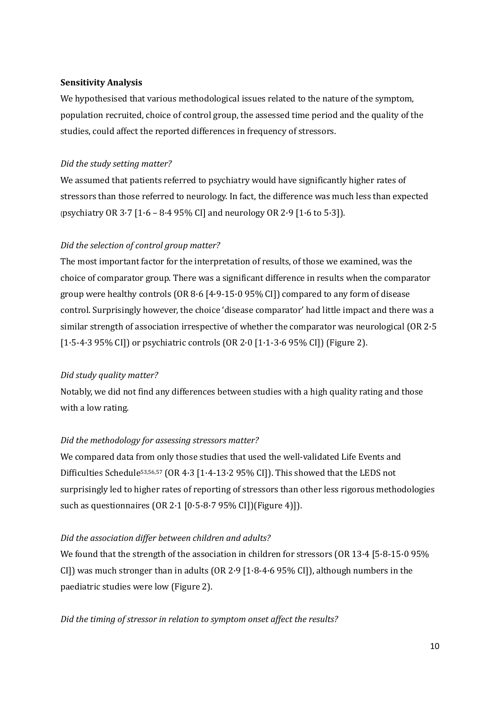## **Sensitivity Analysis**

We hypothesised that various methodological issues related to the nature of the symptom, population recruited, choice of control group, the assessed time period and the quality of the studies, could affect the reported differences in frequency of stressors.

## *Did the study setting matter?*

We assumed that patients referred to psychiatry would have significantly higher rates of stressors than those referred to neurology. In fact, the difference was much less than expected (psychiatry OR 3.7  $[1.6 - 8.4 95\%$  CI] and neurology OR 2.9  $[1.6 \text{ to } 5.3]$ ).

## *Did the selection of control group matter?*

The most important factor for the interpretation of results, of those we examined, was the choice of comparator group. There was a significant difference in results when the comparator group were healthy controls (OR 8·6 [4·9-15·0 95% CI]) compared to any form of disease control. Surprisingly however, the choice 'disease comparator' had little impact and there was a similar strength of association irrespective of whether the comparator was neurological (OR 2·5 [1·5-4·3 95% CI]) or psychiatric controls (OR 2·0 [1·1-3·6 95% CI]) (Figure 2).

## *Did study quality matter?*

Notably, we did not find any differences between studies with a high quality rating and those with a low rating.

## *Did the methodology for assessing stressors matter?*

We compared data from only those studies that used the well-validated Life Events and Difficulties Schedule53,56,57 (OR 4·3 [1·4-13·2 95% CI]). This showed that the LEDS not surprisingly led to higher rates of reporting of stressors than other less rigorous methodologies such as questionnaires (OR 2·1 [0·5-8·7 95% CI])(Figure 4)]).

## *Did the association differ between children and adults?*

We found that the strength of the association in children for stressors (OR 13.4 [5.8-15.0 95%] CI]) was much stronger than in adults (OR  $2.9$  [1 $\cdot$ 8-4 $\cdot$ 6 95% CI]), although numbers in the paediatric studies were low (Figure 2).

*Did the timing of stressor in relation to symptom onset affect the results?*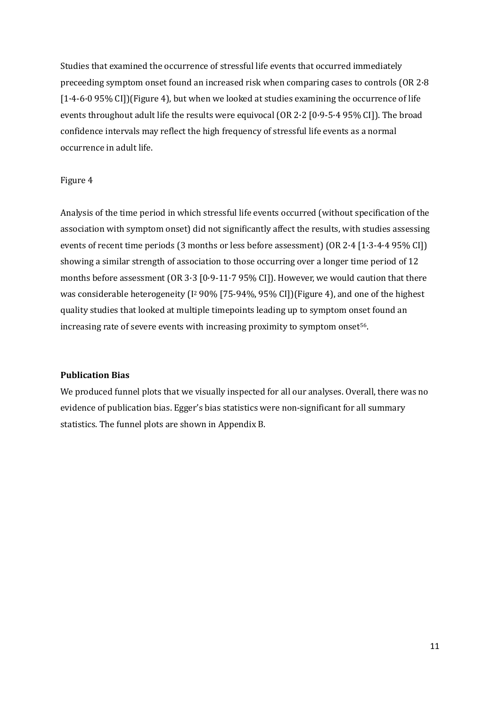Studies that examined the occurrence of stressful life events that occurred immediately preceeding symptom onset found an increased risk when comparing cases to controls (OR 2·8  $[1.4-6.0 95\%$  CI]](Figure 4), but when we looked at studies examining the occurrence of life events throughout adult life the results were equivocal (OR 2·2 [0·9-5·4 95% CI]). The broad confidence intervals may reflect the high frequency of stressful life events as a normal occurrence in adult life.

## Figure 4

Analysis of the time period in which stressful life events occurred (without specification of the association with symptom onset) did not significantly affect the results, with studies assessing events of recent time periods (3 months or less before assessment) (OR 2·4 [1·3-4·4 95% CI]) showing a similar strength of association to those occurring over a longer time period of 12 months before assessment (OR  $3.3$  [0.9-11.7 95% CI]). However, we would caution that there was considerable heterogeneity (I<sup>2</sup> 90% [75-94%, 95% CI])(Figure 4), and one of the highest quality studies that looked at multiple timepoints leading up to symptom onset found an increasing rate of severe events with increasing proximity to symptom onset<sup>56</sup>.

#### **Publication Bias**

We produced funnel plots that we visually inspected for all our analyses. Overall, there was no evidence of publication bias. Egger's bias statistics were non-significant for all summary statistics. The funnel plots are shown in Appendix B.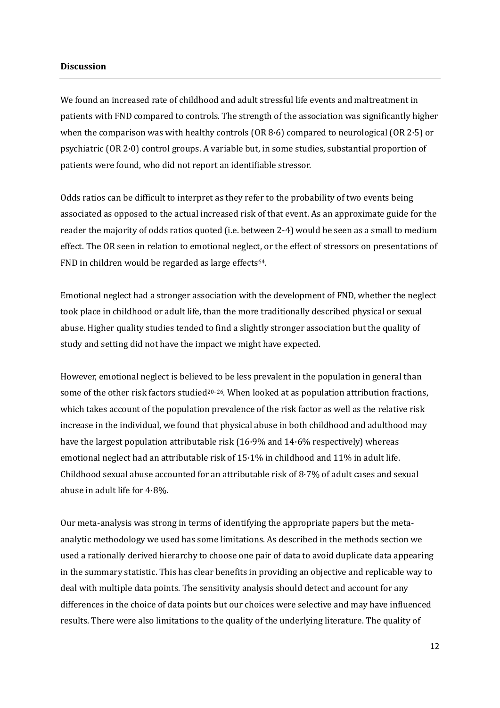#### **Discussion**

We found an increased rate of childhood and adult stressful life events and maltreatment in patients with FND compared to controls. The strength of the association was significantly higher when the comparison was with healthy controls (OR 8·6) compared to neurological (OR 2·5) or psychiatric (OR 2·0) control groups. A variable but, in some studies, substantial proportion of patients were found, who did not report an identifiable stressor.

Odds ratios can be difficult to interpret as they refer to the probability of two events being associated as opposed to the actual increased risk of that event. As an approximate guide for the reader the majority of odds ratios quoted (i.e. between 2-4) would be seen as a small to medium effect. The OR seen in relation to emotional neglect, or the effect of stressors on presentations of FND in children would be regarded as large effects<sup>64</sup>.

Emotional neglect had a stronger association with the development of FND, whether the neglect took place in childhood or adult life, than the more traditionally described physical or sexual abuse. Higher quality studies tended to find a slightly stronger association but the quality of study and setting did not have the impact we might have expected.

However, emotional neglect is believed to be less prevalent in the population in general than some of the other risk factors studied<sup>20-26</sup>. When looked at as population attribution fractions, which takes account of the population prevalence of the risk factor as well as the relative risk increase in the individual, we found that physical abuse in both childhood and adulthood may have the largest population attributable risk (16·9% and 14·6% respectively) whereas emotional neglect had an attributable risk of 15·1% in childhood and 11% in adult life. Childhood sexual abuse accounted for an attributable risk of  $8.7\%$  of adult cases and sexual abuse in adult life for 4·8%.

Our meta-analysis was strong in terms of identifying the appropriate papers but the metaanalytic methodology we used has some limitations. As described in the methods section we used a rationally derived hierarchy to choose one pair of data to avoid duplicate data appearing in the summary statistic. This has clear benefits in providing an objective and replicable way to deal with multiple data points. The sensitivity analysis should detect and account for any differences in the choice of data points but our choices were selective and may have influenced results. There were also limitations to the quality of the underlying literature. The quality of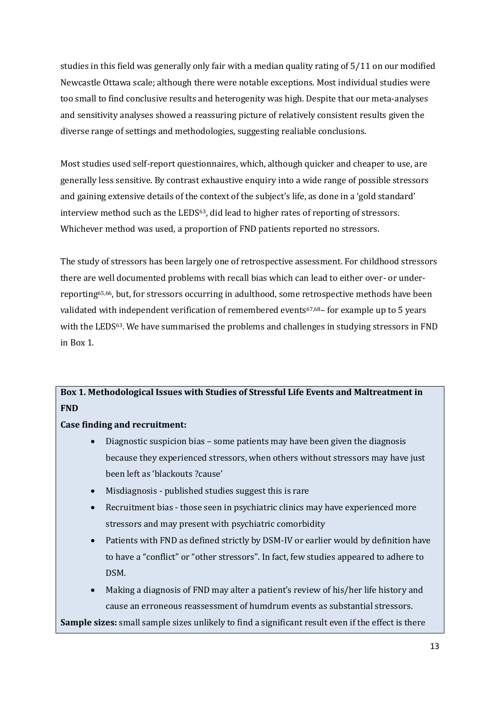studies in this field was generally only fair with a median quality rating of 5/11 on our modified Newcastle Ottawa scale; although there were notable exceptions. Most individual studies were too small to find conclusive results and heterogenity was high. Despite that our meta-analyses and sensitivity analyses showed a reassuring picture of relatively consistent results given the diverse range of settings and methodologies, suggesting realiable conclusions.

Most studies used self-report questionnaires, which, although quicker and cheaper to use, are generally less sensitive. By contrast exhaustive enquiry into a wide range of possible stressors and gaining extensive details of the context of the subject's life, as done in a 'gold standard' interview method such as the LEDS<sup>63</sup>, did lead to higher rates of reporting of stressors. Whichever method was used, a proportion of FND patients reported no stressors.

The study of stressors has been largely one of retrospective assessment. For childhood stressors there are well documented problems with recall bias which can lead to either over- or underreporting65,66, but, for stressors occurring in adulthood, some retrospective methods have been validated with independent verification of remembered events<sup>67,68</sup>- for example up to 5 years with the LEDS<sup>63</sup>. We have summarised the problems and challenges in studying stressors in FND in Box 1.

## **Box 1. Methodological Issues with Studies of Stressful Life Events and Maltreatment in FND**

## **Case finding and recruitment:**

- Diagnostic suspicion bias some patients may have been given the diagnosis because they experienced stressors, when others without stressors may have just been left as 'blackouts ?cause'
- Misdiagnosis published studies suggest this is rare
- Recruitment bias those seen in psychiatric clinics may have experienced more stressors and may present with psychiatric comorbidity
- Patients with FND as defined strictly by DSM-IV or earlier would by definition have to have a "conflict" or "other stressors". In fact, few studies appeared to adhere to DSM.
- Making a diagnosis of FND may alter a patient's review of his/her life history and cause an erroneous reassessment of humdrum events as substantial stressors.

**Sample sizes:** small sample sizes unlikely to find a significant result even if the effect is there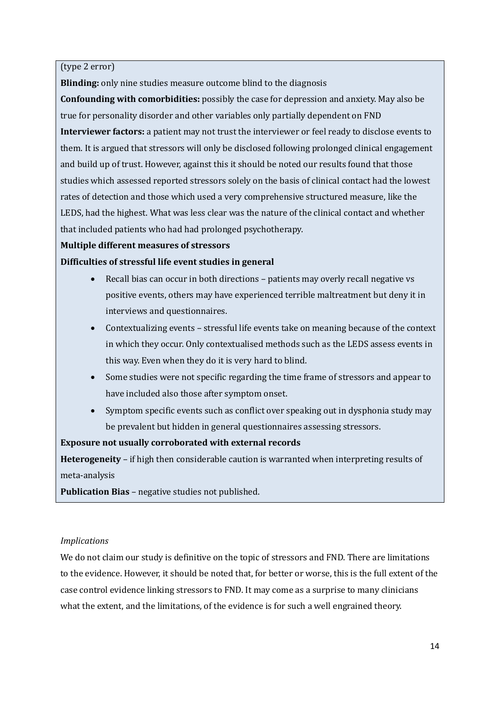(type 2 error)

**Blinding:** only nine studies measure outcome blind to the diagnosis

**Confounding with comorbidities:** possibly the case for depression and anxiety. May also be true for personality disorder and other variables only partially dependent on FND **Interviewer factors:** a patient may not trust the interviewer or feel ready to disclose events to them. It is argued that stressors will only be disclosed following prolonged clinical engagement and build up of trust. However, against this it should be noted our results found that those studies which assessed reported stressors solely on the basis of clinical contact had the lowest rates of detection and those which used a very comprehensive structured measure, like the LEDS, had the highest. What was less clear was the nature of the clinical contact and whether that included patients who had had prolonged psychotherapy.

## **Multiple different measures of stressors**

**Difficulties of stressful life event studies in general**

- Recall bias can occur in both directions patients may overly recall negative vs positive events, others may have experienced terrible maltreatment but deny it in interviews and questionnaires.
- Contextualizing events stressful life events take on meaning because of the context in which they occur. Only contextualised methods such as the LEDS assess events in this way. Even when they do it is very hard to blind.
- Some studies were not specific regarding the time frame of stressors and appear to have included also those after symptom onset.
- Symptom specific events such as conflict over speaking out in dysphonia study may be prevalent but hidden in general questionnaires assessing stressors.

## **Exposure not usually corroborated with external records**

**Heterogeneity** – if high then considerable caution is warranted when interpreting results of meta-analysis

**Publication Bias** – negative studies not published.

## *Implications*

We do not claim our study is definitive on the topic of stressors and FND. There are limitations to the evidence. However, it should be noted that, for better or worse, this is the full extent of the case control evidence linking stressors to FND. It may come as a surprise to many clinicians what the extent, and the limitations, of the evidence is for such a well engrained theory.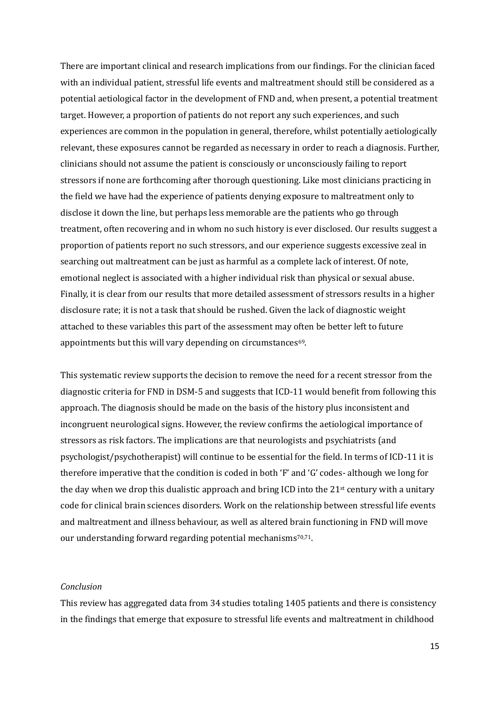There are important clinical and research implications from our findings. For the clinician faced with an individual patient, stressful life events and maltreatment should still be considered as a potential aetiological factor in the development of FND and, when present, a potential treatment target. However, a proportion of patients do not report any such experiences, and such experiences are common in the population in general, therefore, whilst potentially aetiologically relevant, these exposures cannot be regarded as necessary in order to reach a diagnosis. Further, clinicians should not assume the patient is consciously or unconsciously failing to report stressors if none are forthcoming after thorough questioning. Like most clinicians practicing in the field we have had the experience of patients denying exposure to maltreatment only to disclose it down the line, but perhaps less memorable are the patients who go through treatment, often recovering and in whom no such history is ever disclosed. Our results suggest a proportion of patients report no such stressors, and our experience suggests excessive zeal in searching out maltreatment can be just as harmful as a complete lack of interest. Of note, emotional neglect is associated with a higher individual risk than physical or sexual abuse. Finally, it is clear from our results that more detailed assessment of stressors results in a higher disclosure rate; it is not a task that should be rushed. Given the lack of diagnostic weight attached to these variables this part of the assessment may often be better left to future appointments but this will vary depending on circumstances<sup>69</sup>.

This systematic review supports the decision to remove the need for a recent stressor from the diagnostic criteria for FND in DSM-5 and suggests that ICD-11 would benefit from following this approach. The diagnosis should be made on the basis of the history plus inconsistent and incongruent neurological signs. However, the review confirms the aetiological importance of stressors as risk factors. The implications are that neurologists and psychiatrists (and psychologist/psychotherapist) will continue to be essential for the field. In terms of ICD-11 it is therefore imperative that the condition is coded in both 'F' and 'G' codes- although we long for the day when we drop this dualistic approach and bring ICD into the  $21st$  century with a unitary code for clinical brain sciences disorders. Work on the relationship between stressful life events and maltreatment and illness behaviour, as well as altered brain functioning in FND will move our understanding forward regarding potential mechanisms<sup>70,71</sup>.

#### *Conclusion*

This review has aggregated data from 34 studies totaling 1405 patients and there is consistency in the findings that emerge that exposure to stressful life events and maltreatment in childhood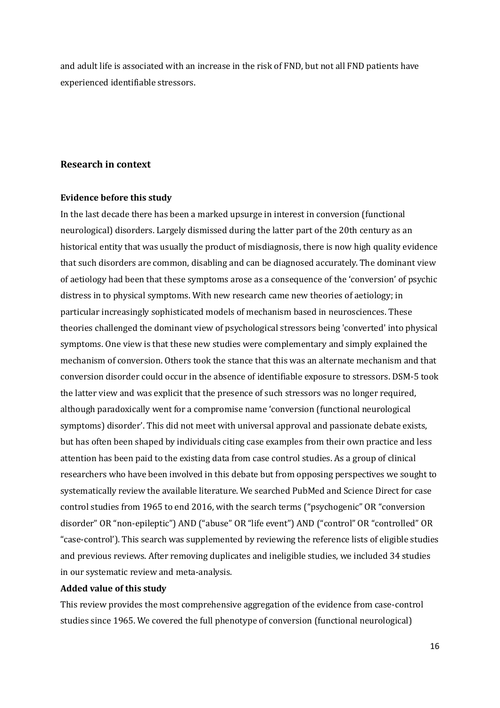and adult life is associated with an increase in the risk of FND, but not all FND patients have experienced identifiable stressors.

## **Research in context**

#### **Evidence before this study**

In the last decade there has been a marked upsurge in interest in conversion (functional neurological) disorders. Largely dismissed during the latter part of the 20th century as an historical entity that was usually the product of misdiagnosis, there is now high quality evidence that such disorders are common, disabling and can be diagnosed accurately. The dominant view of aetiology had been that these symptoms arose as a consequence of the 'conversion' of psychic distress in to physical symptoms. With new research came new theories of aetiology; in particular increasingly sophisticated models of mechanism based in neurosciences. These theories challenged the dominant view of psychological stressors being 'converted' into physical symptoms. One view is that these new studies were complementary and simply explained the mechanism of conversion. Others took the stance that this was an alternate mechanism and that conversion disorder could occur in the absence of identifiable exposure to stressors. DSM-5 took the latter view and was explicit that the presence of such stressors was no longer required, although paradoxically went for a compromise name 'conversion (functional neurological symptoms) disorder'. This did not meet with universal approval and passionate debate exists, but has often been shaped by individuals citing case examples from their own practice and less attention has been paid to the existing data from case control studies. As a group of clinical researchers who have been involved in this debate but from opposing perspectives we sought to systematically review the available literature. We searched PubMed and Science Direct for case control studies from 1965 to end 2016, with the search terms ("psychogenic" OR "conversion disorder" OR "non-epileptic") AND ("abuse" OR "life event") AND ("control" OR "controlled" OR "case-control'). This search was supplemented by reviewing the reference lists of eligible studies and previous reviews. After removing duplicates and ineligible studies, we included 34 studies in our systematic review and meta-analysis.

#### **Added value of this study**

This review provides the most comprehensive aggregation of the evidence from case-control studies since 1965. We covered the full phenotype of conversion (functional neurological)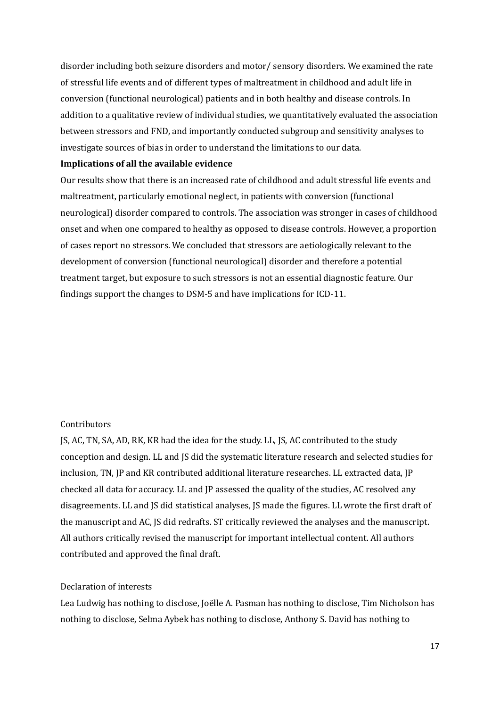disorder including both seizure disorders and motor/ sensory disorders. We examined the rate of stressful life events and of different types of maltreatment in childhood and adult life in conversion (functional neurological) patients and in both healthy and disease controls. In addition to a qualitative review of individual studies, we quantitatively evaluated the association between stressors and FND, and importantly conducted subgroup and sensitivity analyses to investigate sources of bias in order to understand the limitations to our data.

## **Implications of all the available evidence**

Our results show that there is an increased rate of childhood and adult stressful life events and maltreatment, particularly emotional neglect, in patients with conversion (functional neurological) disorder compared to controls. The association was stronger in cases of childhood onset and when one compared to healthy as opposed to disease controls. However, a proportion of cases report no stressors. We concluded that stressors are aetiologically relevant to the development of conversion (functional neurological) disorder and therefore a potential treatment target, but exposure to such stressors is not an essential diagnostic feature. Our findings support the changes to DSM-5 and have implications for ICD-11.

#### Contributors

JS, AC, TN, SA, AD, RK, KR had the idea for the study. LL, JS, AC contributed to the study conception and design. LL and JS did the systematic literature research and selected studies for inclusion, TN, JP and KR contributed additional literature researches. LL extracted data, JP checked all data for accuracy. LL and JP assessed the quality of the studies, AC resolved any disagreements. LL and JS did statistical analyses, JS made the figures. LL wrote the first draft of the manuscript and AC, JS did redrafts. ST critically reviewed the analyses and the manuscript. All authors critically revised the manuscript for important intellectual content. All authors contributed and approved the final draft.

## Declaration of interests

Lea Ludwig has nothing to disclose, Joëlle A. Pasman has nothing to disclose, Tim Nicholson has nothing to disclose, Selma Aybek has nothing to disclose, Anthony S. David has nothing to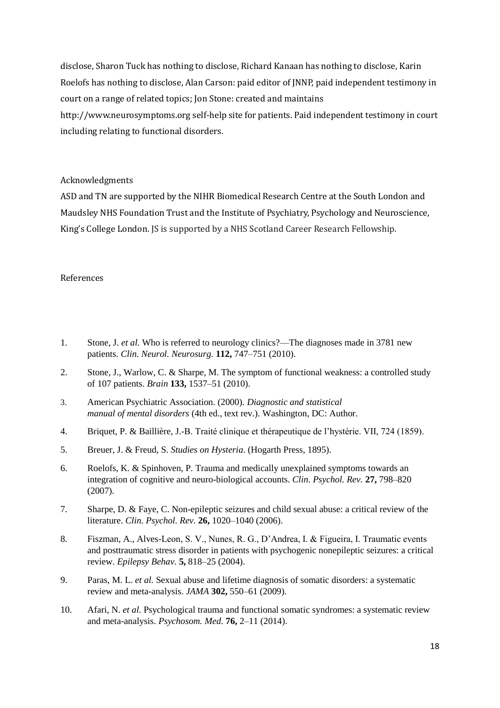disclose, Sharon Tuck has nothing to disclose, Richard Kanaan has nothing to disclose, Karin Roelofs has nothing to disclose, Alan Carson: paid editor of JNNP, paid independent testimony in court on a range of related topics; Jon Stone: created and maintains http://www.neurosymptoms.org self-help site for patients. Paid independent testimony in court including relating to functional disorders.

#### Acknowledgments

ASD and TN are supported by the NIHR Biomedical Research Centre at the South London and Maudsley NHS Foundation Trust and the Institute of Psychiatry, Psychology and Neuroscience, King's College London. JS is supported by a NHS Scotland Career Research Fellowship.

#### References

- 1. Stone, J. *et al.* Who is referred to neurology clinics?—The diagnoses made in 3781 new patients. *Clin. Neurol. Neurosurg.* **112,** 747–751 (2010).
- 2. Stone, J., Warlow, C. & Sharpe, M. The symptom of functional weakness: a controlled study of 107 patients. *Brain* **133,** 1537–51 (2010).
- 3. American Psychiatric Association. (2000). *Diagnostic and statistical manual of mental disorders* (4th ed., text rev.). Washington, DC: Author.
- 4. Briquet, P. & Baillière, J.-B. Traité clinique et thérapeutique de l'hystérie. VII, 724 (1859).
- 5. Breuer, J. & Freud, S. *Studies on Hysteria*. (Hogarth Press, 1895).
- 6. Roelofs, K. & Spinhoven, P. Trauma and medically unexplained symptoms towards an integration of cognitive and neuro-biological accounts. *Clin. Psychol. Rev.* **27,** 798–820 (2007).
- 7. Sharpe, D. & Faye, C. Non-epileptic seizures and child sexual abuse: a critical review of the literature. *Clin. Psychol. Rev.* **26,** 1020–1040 (2006).
- 8. Fiszman, A., Alves-Leon, S. V., Nunes, R. G., D'Andrea, I. & Figueira, I. Traumatic events and posttraumatic stress disorder in patients with psychogenic nonepileptic seizures: a critical review. *Epilepsy Behav.* **5,** 818–25 (2004).
- 9. Paras, M. L. *et al.* Sexual abuse and lifetime diagnosis of somatic disorders: a systematic review and meta-analysis. *JAMA* **302,** 550–61 (2009).
- 10. Afari, N. *et al.* Psychological trauma and functional somatic syndromes: a systematic review and meta-analysis. *Psychosom. Med.* **76,** 2–11 (2014).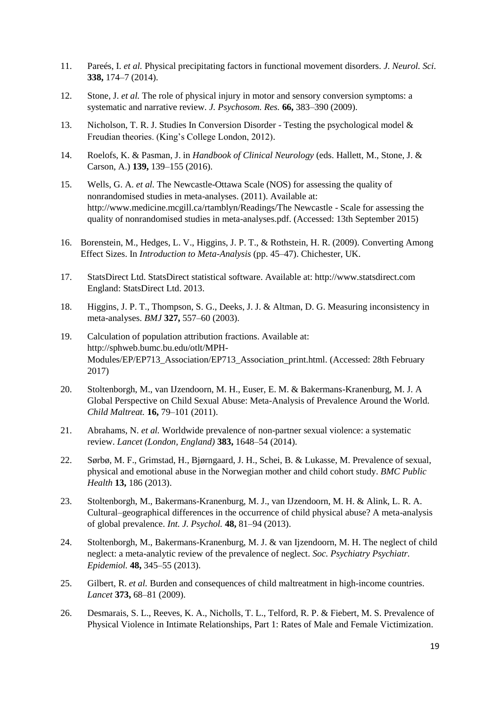- 11. Pareés, I. *et al.* Physical precipitating factors in functional movement disorders. *J. Neurol. Sci.* **338,** 174–7 (2014).
- 12. Stone, J. *et al.* The role of physical injury in motor and sensory conversion symptoms: a systematic and narrative review. *J. Psychosom. Res.* **66,** 383–390 (2009).
- 13. Nicholson, T. R. J. Studies In Conversion Disorder Testing the psychological model & Freudian theories. (King's College London, 2012).
- 14. Roelofs, K. & Pasman, J. in *Handbook of Clinical Neurology* (eds. Hallett, M., Stone, J. & Carson, A.) **139,** 139–155 (2016).
- 15. Wells, G. A. *et al.* The Newcastle-Ottawa Scale (NOS) for assessing the quality of nonrandomised studies in meta-analyses. (2011). Available at: http://www.medicine.mcgill.ca/rtamblyn/Readings/The Newcastle - Scale for assessing the quality of nonrandomised studies in meta-analyses.pdf. (Accessed: 13th September 2015)
- 16. Borenstein, M., Hedges, L. V., Higgins, J. P. T., & Rothstein, H. R. (2009). Converting Among Effect Sizes. In *Introduction to Meta-Analysis* (pp. 45–47). Chichester, UK.
- 17. StatsDirect Ltd. StatsDirect statistical software. Available at: http://www.statsdirect.com England: StatsDirect Ltd. 2013.
- 18. Higgins, J. P. T., Thompson, S. G., Deeks, J. J. & Altman, D. G. Measuring inconsistency in meta-analyses. *BMJ* **327,** 557–60 (2003).
- 19. Calculation of population attribution fractions. Available at: http://sphweb.bumc.bu.edu/otlt/MPH-Modules/EP/EP713\_Association/EP713\_Association\_print.html. (Accessed: 28th February 2017)
- 20. Stoltenborgh, M., van IJzendoorn, M. H., Euser, E. M. & Bakermans-Kranenburg, M. J. A Global Perspective on Child Sexual Abuse: Meta-Analysis of Prevalence Around the World. *Child Maltreat.* **16,** 79–101 (2011).
- 21. Abrahams, N. *et al.* Worldwide prevalence of non-partner sexual violence: a systematic review. *Lancet (London, England)* **383,** 1648–54 (2014).
- 22. Sørbø, M. F., Grimstad, H., Bjørngaard, J. H., Schei, B. & Lukasse, M. Prevalence of sexual, physical and emotional abuse in the Norwegian mother and child cohort study. *BMC Public Health* **13,** 186 (2013).
- 23. Stoltenborgh, M., Bakermans-Kranenburg, M. J., van IJzendoorn, M. H. & Alink, L. R. A. Cultural–geographical differences in the occurrence of child physical abuse? A meta-analysis of global prevalence. *Int. J. Psychol.* **48,** 81–94 (2013).
- 24. Stoltenborgh, M., Bakermans-Kranenburg, M. J. & van Ijzendoorn, M. H. The neglect of child neglect: a meta-analytic review of the prevalence of neglect. *Soc. Psychiatry Psychiatr. Epidemiol.* **48,** 345–55 (2013).
- 25. Gilbert, R. *et al.* Burden and consequences of child maltreatment in high-income countries. *Lancet* **373,** 68–81 (2009).
- 26. Desmarais, S. L., Reeves, K. A., Nicholls, T. L., Telford, R. P. & Fiebert, M. S. Prevalence of Physical Violence in Intimate Relationships, Part 1: Rates of Male and Female Victimization.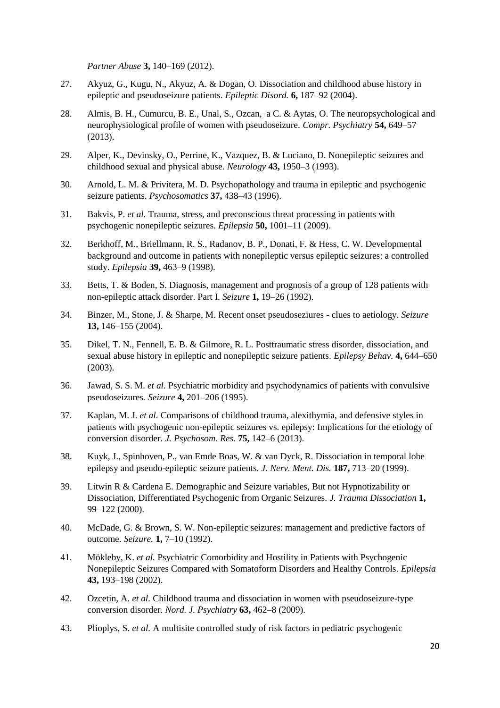*Partner Abuse* **3,** 140–169 (2012).

- 27. Akyuz, G., Kugu, N., Akyuz, A. & Dogan, O. Dissociation and childhood abuse history in epileptic and pseudoseizure patients. *Epileptic Disord.* **6,** 187–92 (2004).
- 28. Almis, B. H., Cumurcu, B. E., Unal, S., Ozcan, a C. & Aytas, O. The neuropsychological and neurophysiological profile of women with pseudoseizure. *Compr. Psychiatry* **54,** 649–57 (2013).
- 29. Alper, K., Devinsky, O., Perrine, K., Vazquez, B. & Luciano, D. Nonepileptic seizures and childhood sexual and physical abuse. *Neurology* **43,** 1950–3 (1993).
- 30. Arnold, L. M. & Privitera, M. D. Psychopathology and trauma in epileptic and psychogenic seizure patients. *Psychosomatics* **37,** 438–43 (1996).
- 31. Bakvis, P. *et al.* Trauma, stress, and preconscious threat processing in patients with psychogenic nonepileptic seizures. *Epilepsia* **50,** 1001–11 (2009).
- 32. Berkhoff, M., Briellmann, R. S., Radanov, B. P., Donati, F. & Hess, C. W. Developmental background and outcome in patients with nonepileptic versus epileptic seizures: a controlled study. *Epilepsia* **39,** 463–9 (1998).
- 33. Betts, T. & Boden, S. Diagnosis, management and prognosis of a group of 128 patients with non-epileptic attack disorder. Part I. *Seizure* **1,** 19–26 (1992).
- 34. Binzer, M., Stone, J. & Sharpe, M. Recent onset pseudoseziures clues to aetiology. *Seizure* **13,** 146–155 (2004).
- 35. Dikel, T. N., Fennell, E. B. & Gilmore, R. L. Posttraumatic stress disorder, dissociation, and sexual abuse history in epileptic and nonepileptic seizure patients. *Epilepsy Behav.* **4,** 644–650 (2003).
- 36. Jawad, S. S. M. *et al.* Psychiatric morbidity and psychodynamics of patients with convulsive pseudoseizures. *Seizure* **4,** 201–206 (1995).
- 37. Kaplan, M. J. *et al.* Comparisons of childhood trauma, alexithymia, and defensive styles in patients with psychogenic non-epileptic seizures vs. epilepsy: Implications for the etiology of conversion disorder. *J. Psychosom. Res.* **75,** 142–6 (2013).
- 38. Kuyk, J., Spinhoven, P., van Emde Boas, W. & van Dyck, R. Dissociation in temporal lobe epilepsy and pseudo-epileptic seizure patients. *J. Nerv. Ment. Dis.* **187,** 713–20 (1999).
- 39. Litwin R & Cardena E. Demographic and Seizure variables, But not Hypnotizability or Dissociation, Differentiated Psychogenic from Organic Seizures. *J. Trauma Dissociation* **1,** 99–122 (2000).
- 40. McDade, G. & Brown, S. W. Non-epileptic seizures: management and predictive factors of outcome. *Seizure.* **1,** 7–10 (1992).
- 41. Mökleby, K. *et al.* Psychiatric Comorbidity and Hostility in Patients with Psychogenic Nonepileptic Seizures Compared with Somatoform Disorders and Healthy Controls. *Epilepsia* **43,** 193–198 (2002).
- 42. Ozcetin, A. *et al.* Childhood trauma and dissociation in women with pseudoseizure-type conversion disorder. *Nord. J. Psychiatry* **63,** 462–8 (2009).
- 43. Plioplys, S. *et al.* A multisite controlled study of risk factors in pediatric psychogenic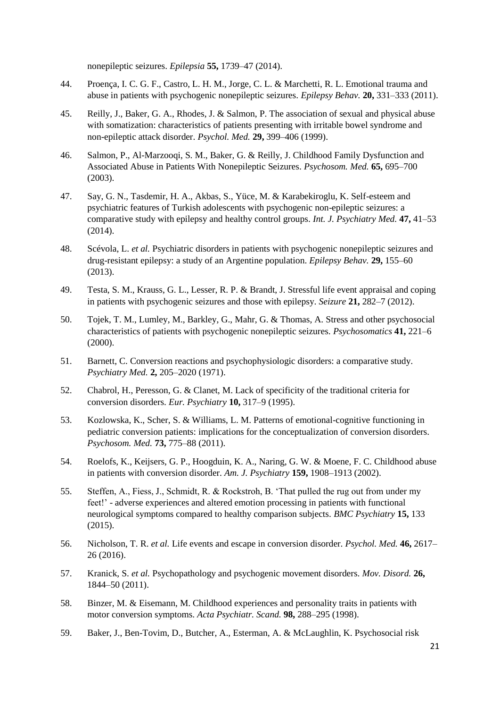nonepileptic seizures. *Epilepsia* **55,** 1739–47 (2014).

- 44. Proença, I. C. G. F., Castro, L. H. M., Jorge, C. L. & Marchetti, R. L. Emotional trauma and abuse in patients with psychogenic nonepileptic seizures. *Epilepsy Behav.* **20,** 331–333 (2011).
- 45. Reilly, J., Baker, G. A., Rhodes, J. & Salmon, P. The association of sexual and physical abuse with somatization: characteristics of patients presenting with irritable bowel syndrome and non-epileptic attack disorder. *Psychol. Med.* **29,** 399–406 (1999).
- 46. Salmon, P., Al-Marzooqi, S. M., Baker, G. & Reilly, J. Childhood Family Dysfunction and Associated Abuse in Patients With Nonepileptic Seizures. *Psychosom. Med.* **65,** 695–700 (2003).
- 47. Say, G. N., Tasdemir, H. A., Akbas, S., Yüce, M. & Karabekiroglu, K. Self-esteem and psychiatric features of Turkish adolescents with psychogenic non-epileptic seizures: a comparative study with epilepsy and healthy control groups. *Int. J. Psychiatry Med.* **47,** 41–53 (2014).
- 48. Scévola, L. *et al.* Psychiatric disorders in patients with psychogenic nonepileptic seizures and drug-resistant epilepsy: a study of an Argentine population. *Epilepsy Behav.* **29,** 155–60 (2013).
- 49. Testa, S. M., Krauss, G. L., Lesser, R. P. & Brandt, J. Stressful life event appraisal and coping in patients with psychogenic seizures and those with epilepsy. *Seizure* **21,** 282–7 (2012).
- 50. Tojek, T. M., Lumley, M., Barkley, G., Mahr, G. & Thomas, A. Stress and other psychosocial characteristics of patients with psychogenic nonepileptic seizures. *Psychosomatics* **41,** 221–6 (2000).
- 51. Barnett, C. Conversion reactions and psychophysiologic disorders: a comparative study. *Psychiatry Med.* **2,** 205–2020 (1971).
- 52. Chabrol, H., Peresson, G. & Clanet, M. Lack of specificity of the traditional criteria for conversion disorders. *Eur. Psychiatry* **10,** 317–9 (1995).
- 53. Kozlowska, K., Scher, S. & Williams, L. M. Patterns of emotional-cognitive functioning in pediatric conversion patients: implications for the conceptualization of conversion disorders. *Psychosom. Med.* **73,** 775–88 (2011).
- 54. Roelofs, K., Keijsers, G. P., Hoogduin, K. A., Naring, G. W. & Moene, F. C. Childhood abuse in patients with conversion disorder. *Am. J. Psychiatry* **159,** 1908–1913 (2002).
- 55. Steffen, A., Fiess, J., Schmidt, R. & Rockstroh, B. 'That pulled the rug out from under my feet!' - adverse experiences and altered emotion processing in patients with functional neurological symptoms compared to healthy comparison subjects. *BMC Psychiatry* **15,** 133 (2015).
- 56. Nicholson, T. R. *et al.* Life events and escape in conversion disorder. *Psychol. Med.* **46,** 2617– 26 (2016).
- 57. Kranick, S. *et al.* Psychopathology and psychogenic movement disorders. *Mov. Disord.* **26,** 1844–50 (2011).
- 58. Binzer, M. & Eisemann, M. Childhood experiences and personality traits in patients with motor conversion symptoms. *Acta Psychiatr. Scand.* **98,** 288–295 (1998).
- 59. Baker, J., Ben-Tovim, D., Butcher, A., Esterman, A. & McLaughlin, K. Psychosocial risk